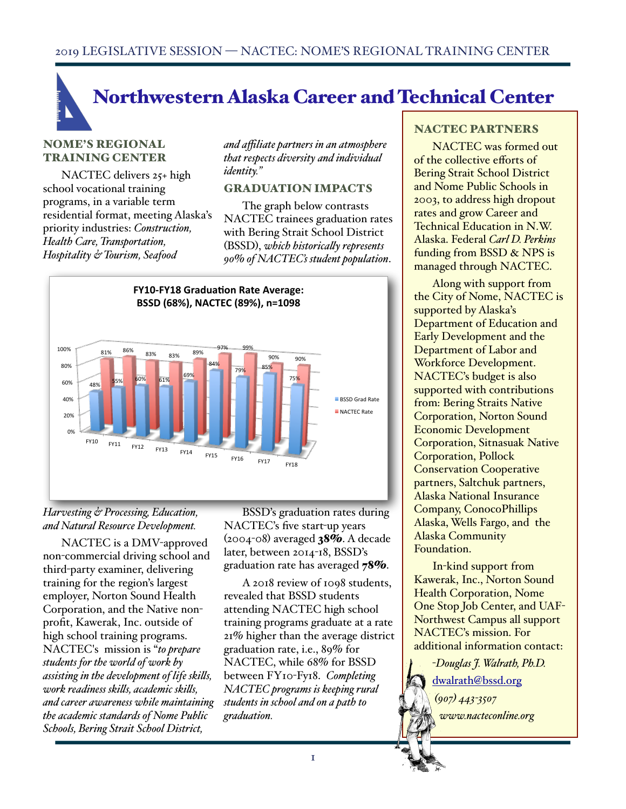# Northwestern Alaska Career and Technical Center

#### NOME'S REGIONAL TRAINING CENTER

NACTEC delivers 25+ high school vocational training programs, in a variable term residential format, meeting Alaska's priority industries: *Construction, Health Care, Transportation, Hospitality & Tourism, Seafood* 

*and affiliate partners in an atmosphere that respects diversity and individual identity."*

#### GRADUATION IMPACTS

The graph below contrasts NACTEC trainees graduation rates with Bering Strait School District (BSSD), *which historicaly represents 90% of NACTEC's student population*.



### *Harvesting & Processing, Education, and Natural Resource Development.*

NACTEC is a DMV-approved non-commercial driving school and third-party examiner, delivering training for the region's largest employer, Norton Sound Health Corporation, and the Native nonprofit, Kawerak, Inc. outside of high school training programs. NACTEC's mission is "*to prepare students for the world of work by assisting in the development of life skils, work readiness skils, academic skils, and career awareness while maintaining the academic standards of Nome Public Schools, Bering Strait School District,* 

BSSD's graduation rates during NACTEC's five start-up years  $(2004-08)$  averaged  $38%$ . A decade later, between 2014-18, BSSD's graduation rate has averaged 78%.

A 2018 review of 1098 students, revealed that BSSD students attending NACTEC high school training programs graduate at a rate 21% higher than the average district graduation rate, i.e., 89% for NACTEC, while 68% for BSSD between FY10-Fy18. *Completing NACTEC programs is keeping rural students in school and on a path to graduation.* 

#### NACTEC PARTNERS

NACTEC was formed out of the collective efforts of Bering Strait School District and Nome Public Schools in 2003, to address high dropout rates and grow Career and Technical Education in N.W. Alaska. Federal *Carl D. Perkins*  funding from BSSD & NPS is managed through NACTEC.

Along with support from the City of Nome, NACTEC is supported by Alaska's Department of Education and Early Development and the Department of Labor and Workforce Development. NACTEC's budget is also supported with contributions from: Bering Straits Native Corporation, Norton Sound Economic Development Corporation, Sitnasuak Native Corporation, Pollock Conservation Cooperative partners, Saltchuk partners, Alaska National Insurance Company, ConocoPhillips Alaska, Wells Fargo, and the Alaska Community Foundation.

In-kind support from Kawerak, Inc., Norton Sound Health Corporation, Nome One Stop Job Center, and UAF-Northwest Campus all support NACTEC's mission. For additional information contact:

-*Douglas J. Walrath, Ph.D.*  [dwalrath@bssd.org](mailto:dwalrath@bssd.org) *(907) 443-3507 www.nacteconline.org*